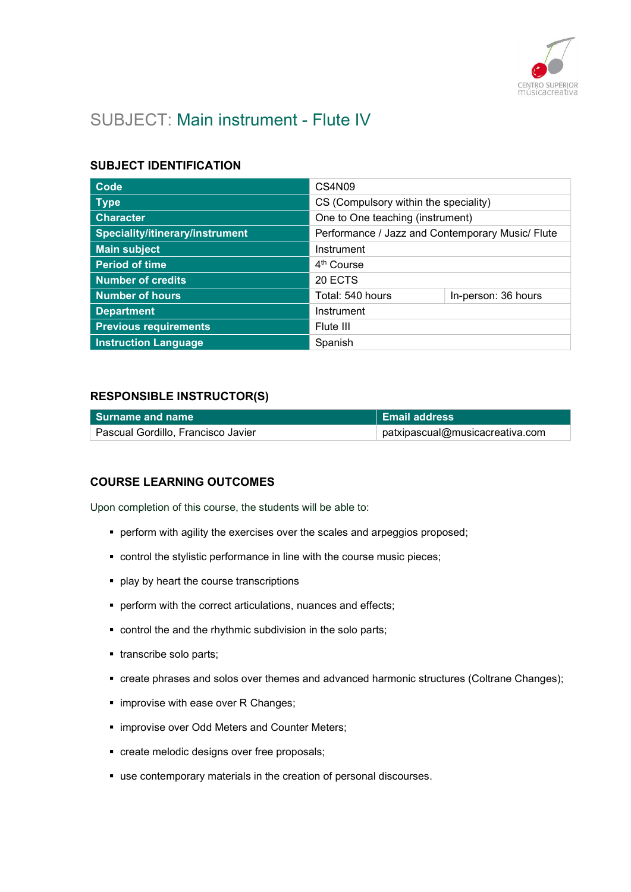

# SUBJECT: Main instrument - Flute IV

## SUBJECT IDENTIFICATION

| Code                            | CS4N09                                           |                     |
|---------------------------------|--------------------------------------------------|---------------------|
| <b>Type</b>                     | CS (Compulsory within the speciality)            |                     |
| <b>Character</b>                | One to One teaching (instrument)                 |                     |
| Speciality/itinerary/instrument | Performance / Jazz and Contemporary Music/ Flute |                     |
| <b>Main subject</b>             | Instrument                                       |                     |
| <b>Period of time</b>           | 4 <sup>th</sup> Course                           |                     |
| <b>Number of credits</b>        | 20 ECTS                                          |                     |
| <b>Number of hours</b>          | Total: 540 hours                                 | In-person: 36 hours |
| <b>Department</b>               | Instrument                                       |                     |
| <b>Previous requirements</b>    | Flute III                                        |                     |
| <b>Instruction Language</b>     | Spanish                                          |                     |

## RESPONSIBLE INSTRUCTOR(S)

| l Surname and name                 | <b>Email address</b>            |
|------------------------------------|---------------------------------|
| Pascual Gordillo, Francisco Javier | patxipascual@musicacreativa.com |

## COURSE LEARNING OUTCOMES

Upon completion of this course, the students will be able to:

- **•** perform with agility the exercises over the scales and arpeggios proposed;
- control the stylistic performance in line with the course music pieces;
- **P** play by heart the course transcriptions
- **perform with the correct articulations, nuances and effects;**
- control the and the rhythmic subdivision in the solo parts;
- **transcribe solo parts;**
- create phrases and solos over themes and advanced harmonic structures (Coltrane Changes);
- **improvise with ease over R Changes;**
- $\blacksquare$  improvise over Odd Meters and Counter Meters;
- create melodic designs over free proposals;
- use contemporary materials in the creation of personal discourses.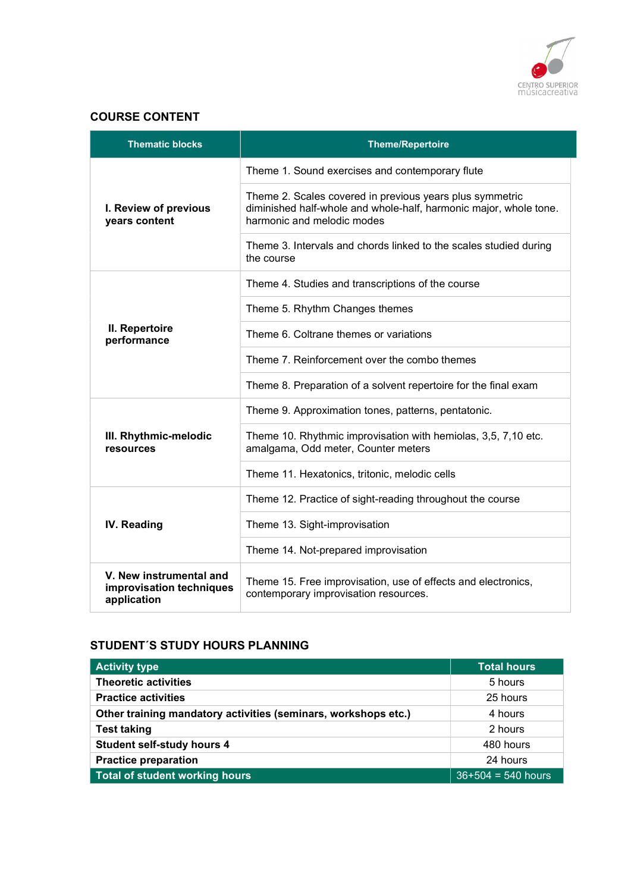

#### COURSE CONTENT

| <b>Thematic blocks</b>                                             | <b>Theme/Repertoire</b>                                                                                                                                     |
|--------------------------------------------------------------------|-------------------------------------------------------------------------------------------------------------------------------------------------------------|
|                                                                    | Theme 1. Sound exercises and contemporary flute                                                                                                             |
| I. Review of previous<br>years content                             | Theme 2. Scales covered in previous years plus symmetric<br>diminished half-whole and whole-half, harmonic major, whole tone.<br>harmonic and melodic modes |
|                                                                    | Theme 3. Intervals and chords linked to the scales studied during<br>the course                                                                             |
|                                                                    | Theme 4. Studies and transcriptions of the course                                                                                                           |
|                                                                    | Theme 5. Rhythm Changes themes                                                                                                                              |
| II. Repertoire<br>performance                                      | Theme 6. Coltrane themes or variations                                                                                                                      |
|                                                                    | Theme 7. Reinforcement over the combo themes                                                                                                                |
|                                                                    | Theme 8. Preparation of a solvent repertoire for the final exam                                                                                             |
|                                                                    | Theme 9. Approximation tones, patterns, pentatonic.                                                                                                         |
| III. Rhythmic-melodic<br>resources                                 | Theme 10. Rhythmic improvisation with hemiolas, 3,5, 7,10 etc.<br>amalgama, Odd meter, Counter meters                                                       |
|                                                                    | Theme 11. Hexatonics, tritonic, melodic cells                                                                                                               |
|                                                                    | Theme 12. Practice of sight-reading throughout the course                                                                                                   |
| IV. Reading                                                        | Theme 13. Sight-improvisation                                                                                                                               |
|                                                                    | Theme 14. Not-prepared improvisation                                                                                                                        |
| V. New instrumental and<br>improvisation techniques<br>application | Theme 15. Free improvisation, use of effects and electronics,<br>contemporary improvisation resources.                                                      |

# STUDENT´S STUDY HOURS PLANNING

| <b>Activity type</b>                                           | <b>Total hours</b>   |
|----------------------------------------------------------------|----------------------|
| <b>Theoretic activities</b>                                    | 5 hours              |
| <b>Practice activities</b>                                     | 25 hours             |
| Other training mandatory activities (seminars, workshops etc.) | 4 hours              |
| <b>Test taking</b>                                             | 2 hours              |
| <b>Student self-study hours 4</b>                              | 480 hours            |
| <b>Practice preparation</b>                                    | 24 hours             |
| Total of student working hours                                 | $36+504 = 540$ hours |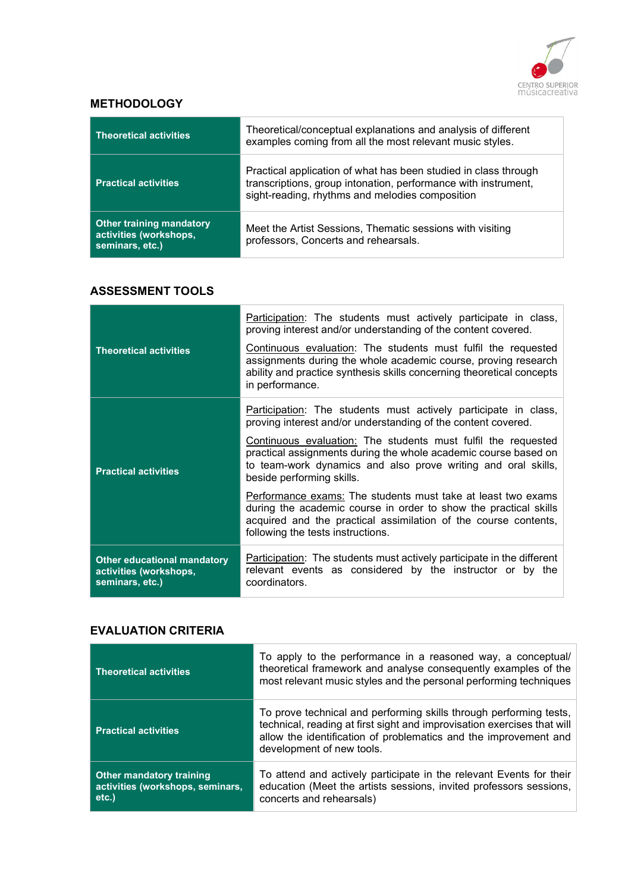

## **METHODOLOGY**

| <b>Theoretical activities</b>                                                | Theoretical/conceptual explanations and analysis of different<br>examples coming from all the most relevant music styles.                                                            |
|------------------------------------------------------------------------------|--------------------------------------------------------------------------------------------------------------------------------------------------------------------------------------|
| <b>Practical activities</b>                                                  | Practical application of what has been studied in class through<br>transcriptions, group intonation, performance with instrument,<br>sight-reading, rhythms and melodies composition |
| <b>Other training mandatory</b><br>activities (workshops,<br>seminars, etc.) | Meet the Artist Sessions, Thematic sessions with visiting<br>professors, Concerts and rehearsals.                                                                                    |

### ASSESSMENT TOOLS

| <b>Theoretical activities</b>                                                   | Participation: The students must actively participate in class,<br>proving interest and/or understanding of the content covered.<br>Continuous evaluation: The students must fulfil the requested<br>assignments during the whole academic course, proving research<br>ability and practice synthesis skills concerning theoretical concepts<br>in performance. |
|---------------------------------------------------------------------------------|-----------------------------------------------------------------------------------------------------------------------------------------------------------------------------------------------------------------------------------------------------------------------------------------------------------------------------------------------------------------|
|                                                                                 | Participation: The students must actively participate in class,<br>proving interest and/or understanding of the content covered.                                                                                                                                                                                                                                |
| <b>Practical activities</b>                                                     | Continuous evaluation: The students must fulfil the requested<br>practical assignments during the whole academic course based on<br>to team-work dynamics and also prove writing and oral skills,<br>beside performing skills.                                                                                                                                  |
|                                                                                 | Performance exams: The students must take at least two exams<br>during the academic course in order to show the practical skills<br>acquired and the practical assimilation of the course contents,<br>following the tests instructions.                                                                                                                        |
| <b>Other educational mandatory</b><br>activities (workshops,<br>seminars, etc.) | <b>Participation:</b> The students must actively participate in the different<br>relevant events as considered by the instructor or by the<br>coordinators.                                                                                                                                                                                                     |

## EVALUATION CRITERIA

| <b>Theoretical activities</b>                                               | To apply to the performance in a reasoned way, a conceptual/<br>theoretical framework and analyse consequently examples of the<br>most relevant music styles and the personal performing techniques                                            |
|-----------------------------------------------------------------------------|------------------------------------------------------------------------------------------------------------------------------------------------------------------------------------------------------------------------------------------------|
| <b>Practical activities</b>                                                 | To prove technical and performing skills through performing tests,<br>technical, reading at first sight and improvisation exercises that will<br>allow the identification of problematics and the improvement and<br>development of new tools. |
| <b>Other mandatory training</b><br>activities (workshops, seminars,<br>etc. | To attend and actively participate in the relevant Events for their<br>education (Meet the artists sessions, invited professors sessions,<br>concerts and rehearsals)                                                                          |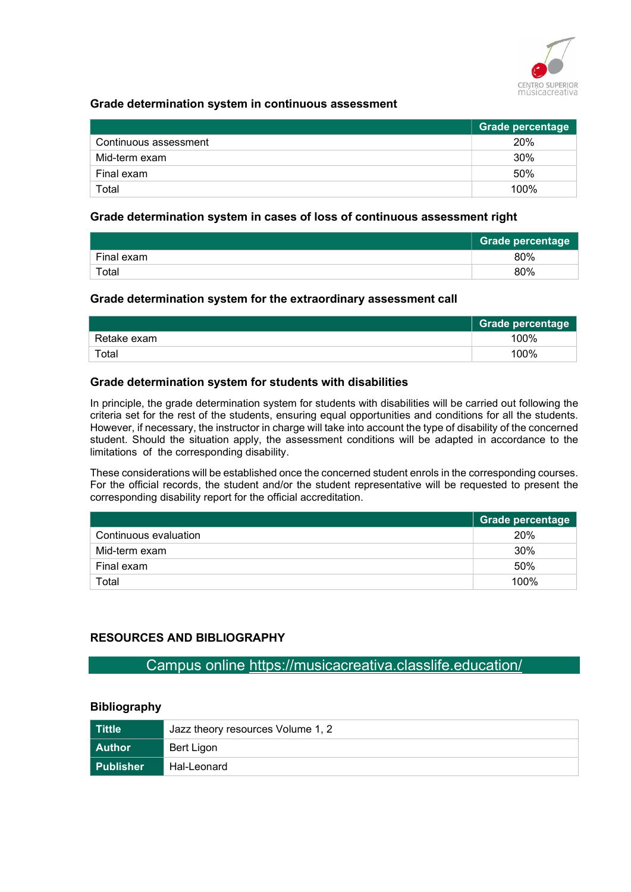

#### Grade determination system in continuous assessment

|                       | <b>Grade percentage</b> |
|-----------------------|-------------------------|
| Continuous assessment | 20%                     |
| Mid-term exam         | 30%                     |
| Final exam            | 50%                     |
| Total                 | 100%                    |

#### Grade determination system in cases of loss of continuous assessment right

|            | <b>Grade percentage</b> |
|------------|-------------------------|
| Final exam | 80%                     |
| Total      | 80%                     |

#### Grade determination system for the extraordinary assessment call

|             | <b>Grade percentage</b> |
|-------------|-------------------------|
| Retake exam | 100%                    |
| Total       | 100%                    |

#### Grade determination system for students with disabilities

In principle, the grade determination system for students with disabilities will be carried out following the criteria set for the rest of the students, ensuring equal opportunities and conditions for all the students. However, if necessary, the instructor in charge will take into account the type of disability of the concerned student. Should the situation apply, the assessment conditions will be adapted in accordance to the limitations of the corresponding disability.

These considerations will be established once the concerned student enrols in the corresponding courses. For the official records, the student and/or the student representative will be requested to present the corresponding disability report for the official accreditation.

|                       | Grade percentage |
|-----------------------|------------------|
| Continuous evaluation | 20%              |
| Mid-term exam         | 30%              |
| Final exam            | 50%              |
| Total                 | 100%             |

#### RESOURCES AND BIBLIOGRAPHY

Campus online https://musicacreativa.classlife.education/

## Bibliography

| Tittle      | Jazz theory resources Volume 1, 2 |
|-------------|-----------------------------------|
| Author      | Bert Ligon                        |
| l Publisher | Hal-Leonard                       |